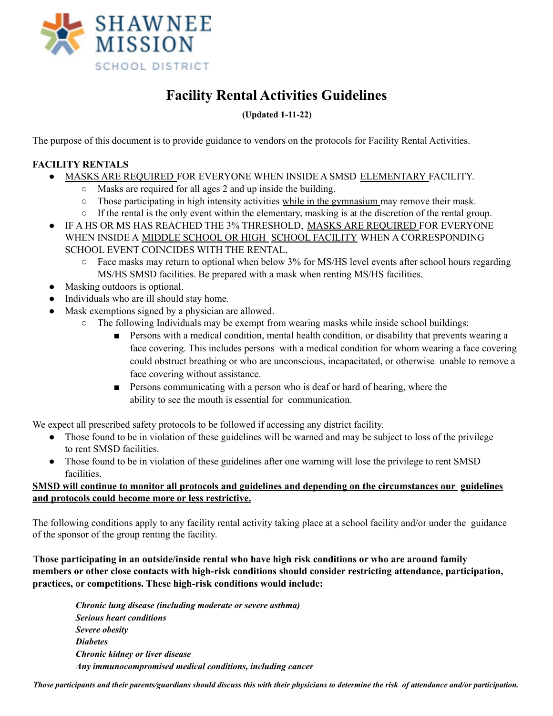

# **Facility Rental Activities Guidelines**

## **(Updated 1-11-22)**

The purpose of this document is to provide guidance to vendors on the protocols for Facility Rental Activities.

## **FACILITY RENTALS**

- MASKS ARE REQUIRED FOR EVERYONE WHEN INSIDE A SMSD ELEMENTARY FACILITY.
	- Masks are required for all ages 2 and up inside the building.
		- $\circ$  Those participating in high intensity activities while in the gymnasium may remove their mask.
		- If the rental is the only event within the elementary, masking is at the discretion of the rental group.
- IF A HS OR MS HAS REACHED THE 3% THRESHOLD, MASKS ARE REQUIRED FOR EVERYONE WHEN INSIDE A MIDDLE SCHOOL OR HIGH SCHOOL FACILITY WHEN A CORRESPONDING SCHOOL EVENT COINCIDES WITH THE RENTAL.
	- $\circ$  Face masks may return to optional when below 3% for MS/HS level events after school hours regarding MS/HS SMSD facilities. Be prepared with a mask when renting MS/HS facilities.
- Masking outdoors is optional.
- Individuals who are ill should stay home.
- Mask exemptions signed by a physician are allowed.
	- The following Individuals may be exempt from wearing masks while inside school buildings:
		- Persons with a medical condition, mental health condition, or disability that prevents wearing a face covering. This includes persons with a medical condition for whom wearing a face covering could obstruct breathing or who are unconscious, incapacitated, or otherwise unable to remove a face covering without assistance.
		- Persons communicating with a person who is deaf or hard of hearing, where the ability to see the mouth is essential for communication.

We expect all prescribed safety protocols to be followed if accessing any district facility.

- Those found to be in violation of these guidelines will be warned and may be subject to loss of the privilege to rent SMSD facilities.
- Those found to be in violation of these guidelines after one warning will lose the privilege to rent SMSD facilities.

#### **SMSD will continue to monitor all protocols and guidelines and depending on the circumstances our guidelines and protocols could become more or less restrictive.**

The following conditions apply to any facility rental activity taking place at a school facility and/or under the guidance of the sponsor of the group renting the facility.

**Those participating in an outside/inside rental who have high risk conditions or who are around family members or other close contacts with high-risk conditions should consider restricting attendance, participation, practices, or competitions. These high-risk conditions would include:**

*Chronic lung disease (including moderate or severe asthma) Serious heart conditions Severe obesity Diabetes Chronic kidney or liver disease Any immunocompromised medical conditions, including cancer*